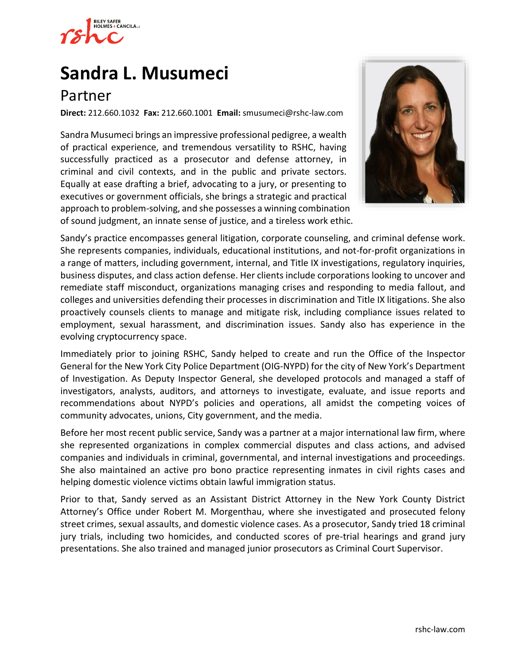

# **[Sandra L. Musumeci](https://www.rshc-law.com/attorneys/attorney/sandra-l.-musumeci)**

# Partner

**Direct:** 212.660.1032 **Fax:** 212.660.1001 **Email:** [smusumeci@rshc-law.com](mailto:smusumeci@rshc-law.com)

Sandra Musumeci brings an impressive professional pedigree, a wealth of practical experience, and tremendous versatility to RSHC, having successfully practiced as a prosecutor and defense attorney, in criminal and civil contexts, and in the public and private sectors. Equally at ease drafting a brief, advocating to a jury, or presenting to executives or government officials, she brings a strategic and practical approach to problem-solving, and she possesses a winning combination of sound judgment, an innate sense of justice, and a tireless work ethic.



Sandy's practice encompasses general litigation, corporate counseling, and criminal defense work. She represents companies, individuals, educational institutions, and not-for-profit organizations in a range of matters, including government, internal, and Title IX investigations, regulatory inquiries, business disputes, and class action defense. Her clients include corporations looking to uncover and remediate staff misconduct, organizations managing crises and responding to media fallout, and colleges and universities defending their processes in discrimination and Title IX litigations. She also proactively counsels clients to manage and mitigate risk, including compliance issues related to employment, sexual harassment, and discrimination issues. Sandy also has experience in the evolving cryptocurrency space.

Immediately prior to joining RSHC, Sandy helped to create and run the Office of the Inspector General for the New York City Police Department (OIG-NYPD) for the city of New York's Department of Investigation. As Deputy Inspector General, she developed protocols and managed a staff of investigators, analysts, auditors, and attorneys to investigate, evaluate, and issue reports and recommendations about NYPD's policies and operations, all amidst the competing voices of community advocates, unions, City government, and the media.

Before her most recent public service, Sandy was a partner at a major international law firm, where she represented organizations in complex commercial disputes and class actions, and advised companies and individuals in criminal, governmental, and internal investigations and proceedings. She also maintained an active pro bono practice representing inmates in civil rights cases and helping domestic violence victims obtain lawful immigration status.

Prior to that, Sandy served as an Assistant District Attorney in the New York County District Attorney's Office under Robert M. Morgenthau, where she investigated and prosecuted felony street crimes, sexual assaults, and domestic violence cases. As a prosecutor, Sandy tried 18 criminal jury trials, including two homicides, and conducted scores of pre-trial hearings and grand jury presentations. She also trained and managed junior prosecutors as Criminal Court Supervisor.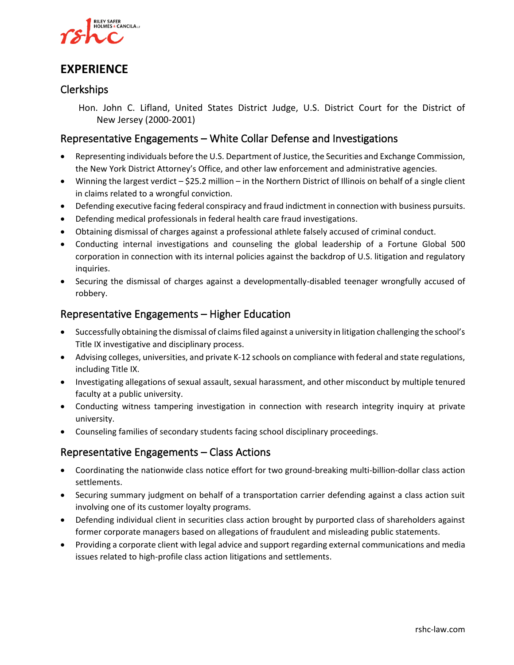

## **EXPERIENCE**

#### Clerkships

Hon. John C. Lifland, United States District Judge, U.S. District Court for the District of New Jersey (2000-2001)

#### Representative Engagements – White Collar Defense and Investigations

- Representing individuals before the U.S. Department of Justice, the Securities and Exchange Commission, the New York District Attorney's Office, and other law enforcement and administrative agencies.
- Winning the largest verdict \$25.2 million in the Northern District of Illinois on behalf of a single client in claims related to a wrongful conviction.
- Defending executive facing federal conspiracy and fraud indictment in connection with business pursuits.
- Defending medical professionals in federal health care fraud investigations.
- Obtaining dismissal of charges against a professional athlete falsely accused of criminal conduct.
- Conducting internal investigations and counseling the global leadership of a Fortune Global 500 corporation in connection with its internal policies against the backdrop of U.S. litigation and regulatory inquiries.
- Securing the dismissal of charges against a developmentally-disabled teenager wrongfully accused of robbery.

#### Representative Engagements – Higher Education

- Successfully obtaining the dismissal of claims filed against a university in litigation challenging the school's Title IX investigative and disciplinary process.
- Advising colleges, universities, and private K-12 schools on compliance with federal and state regulations, including Title IX.
- Investigating allegations of sexual assault, sexual harassment, and other misconduct by multiple tenured faculty at a public university.
- Conducting witness tampering investigation in connection with research integrity inquiry at private university.
- Counseling families of secondary students facing school disciplinary proceedings.

#### Representative Engagements – Class Actions

- Coordinating the nationwide class notice effort for two ground-breaking multi-billion-dollar class action settlements.
- Securing summary judgment on behalf of a transportation carrier defending against a class action suit involving one of its customer loyalty programs.
- Defending individual client in securities class action brought by purported class of shareholders against former corporate managers based on allegations of fraudulent and misleading public statements.
- Providing a corporate client with legal advice and support regarding external communications and media issues related to high-profile class action litigations and settlements.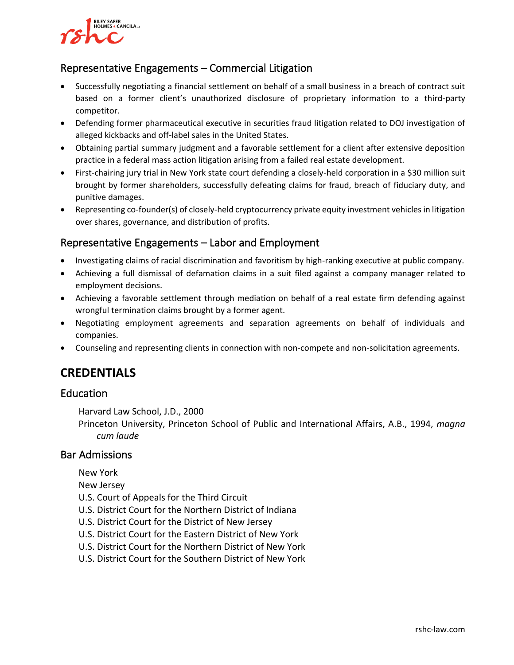# **RILEY SAFER** HOLMES & CANCILA

#### Representative Engagements – Commercial Litigation

- Successfully negotiating a financial settlement on behalf of a small business in a breach of contract suit based on a former client's unauthorized disclosure of proprietary information to a third-party competitor.
- Defending former pharmaceutical executive in securities fraud litigation related to DOJ investigation of alleged kickbacks and off-label sales in the United States.
- Obtaining partial summary judgment and a favorable settlement for a client after extensive deposition practice in a federal mass action litigation arising from a failed real estate development.
- First-chairing jury trial in New York state court defending a closely-held corporation in a \$30 million suit brought by former shareholders, successfully defeating claims for fraud, breach of fiduciary duty, and punitive damages.
- Representing co-founder(s) of closely-held cryptocurrency private equity investment vehicles in litigation over shares, governance, and distribution of profits.

#### Representative Engagements – Labor and Employment

- Investigating claims of racial discrimination and favoritism by high-ranking executive at public company.
- Achieving a full dismissal of defamation claims in a suit filed against a company manager related to employment decisions.
- Achieving a favorable settlement through mediation on behalf of a real estate firm defending against wrongful termination claims brought by a former agent.
- Negotiating employment agreements and separation agreements on behalf of individuals and companies.
- Counseling and representing clients in connection with non-compete and non-solicitation agreements.

# **CREDENTIALS**

#### Education

Harvard Law School, J.D., 2000

Princeton University, Princeton School of Public and International Affairs, A.B., 1994, *magna cum laude*

#### Bar Admissions

- New York
- New Jersey
- U.S. Court of Appeals for the Third Circuit
- U.S. District Court for the Northern District of Indiana
- U.S. District Court for the District of New Jersey
- U.S. District Court for the Eastern District of New York
- U.S. District Court for the Northern District of New York
- U.S. District Court for the Southern District of New York